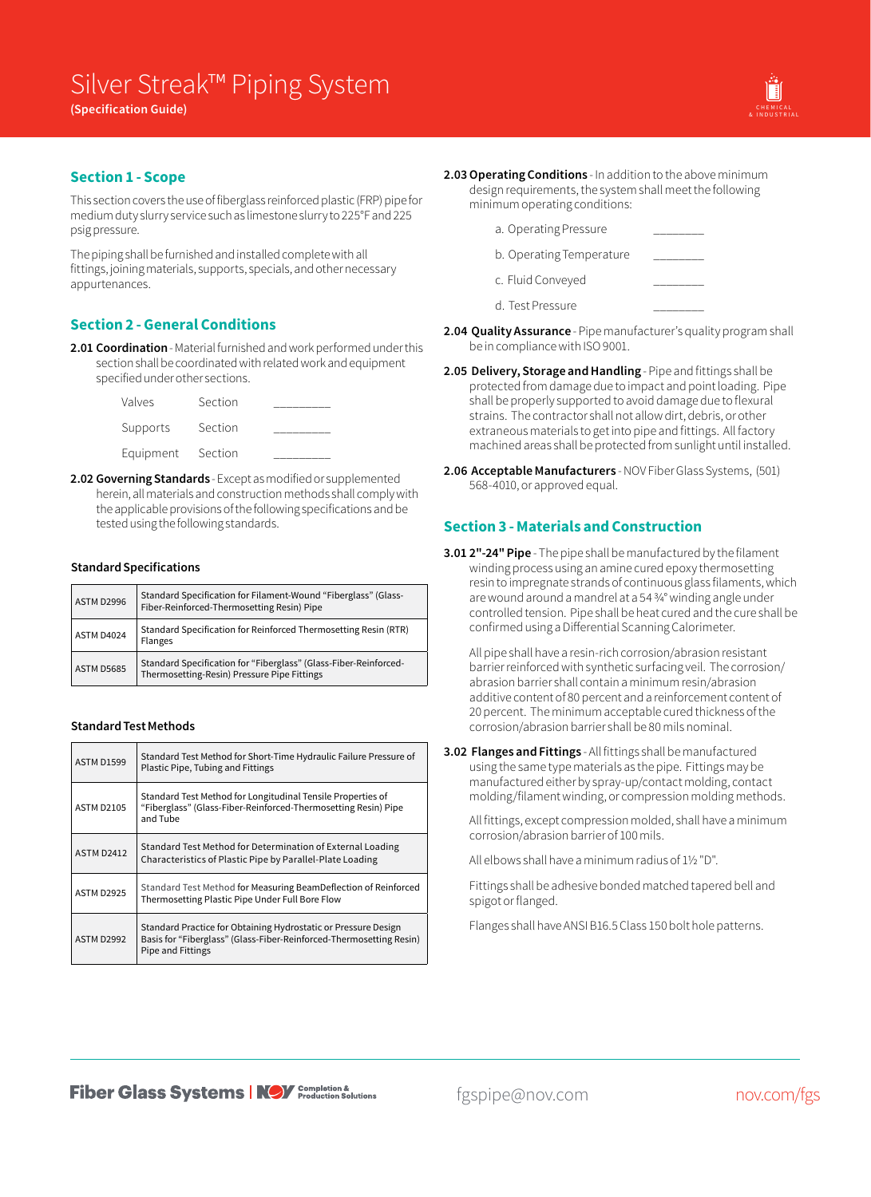

## **Section 1 - Scope**

This section covers the use of fiberglass reinforced plastic (FRP) pipe for medium duty slurry service such as limestone slurry to 225°F and 225 psig pressure.

The piping shall be furnished and installed complete with all fittings, joining materials, supports, specials, and other necessary appurtenances.

## **Section 2 - General Conditions**

**2.01 Coordination** - Material furnished and work performed under this section shall be coordinated with related work and equipment specified under other sections.

| Valves    | Section |  |
|-----------|---------|--|
| Supports  | Section |  |
| Equipment | Section |  |

**2.02 Governing Standards** - Except as modified or supplemented herein, all materials and construction methods shall comply with the applicable provisions of the following specifications and be tested using the following standards.

### **Standard Specifications**

| ASTM D2996        | Standard Specification for Filament-Wound "Fiberglass" (Glass-<br>Fiber-Reinforced-Thermosetting Resin) Pipe    |
|-------------------|-----------------------------------------------------------------------------------------------------------------|
| ASTM D4024        | Standard Specification for Reinforced Thermosetting Resin (RTR)<br><b>Flanges</b>                               |
| <b>ASTM D5685</b> | Standard Specification for "Fiberglass" (Glass-Fiber-Reinforced-<br>Thermosetting-Resin) Pressure Pipe Fittings |

### **Standard Test Methods**

| <b>ASTM D1599</b> | Standard Test Method for Short-Time Hydraulic Failure Pressure of<br>Plastic Pipe, Tubing and Fittings                                                            |
|-------------------|-------------------------------------------------------------------------------------------------------------------------------------------------------------------|
| <b>ASTM D2105</b> | Standard Test Method for Longitudinal Tensile Properties of<br>"Fiberglass" (Glass-Fiber-Reinforced-Thermosetting Resin) Pipe<br>and Tube                         |
| <b>ASTM D2412</b> | Standard Test Method for Determination of External Loading<br>Characteristics of Plastic Pipe by Parallel-Plate Loading                                           |
| <b>ASTM D2925</b> | Standard Test Method for Measuring BeamDeflection of Reinforced<br>Thermosetting Plastic Pipe Under Full Bore Flow                                                |
| <b>ASTM D2992</b> | Standard Practice for Obtaining Hydrostatic or Pressure Design<br>Basis for "Fiberglass" (Glass-Fiber-Reinforced-Thermosetting Resin)<br><b>Pipe and Fittings</b> |

- **2.03Operating Conditions** In addition to the above minimum design requirements, the system shall meet the following minimum operating conditions:
	- a. Operating Pressure b. Operating Temperature
	- c. Fluid Conveyed
	- d. Test Pressure
- **2.04 Quality Assurance** Pipe manufacturer's quality program shall be in compliance with ISO 9001.
- **2.05 Delivery, Storage and Handling** Pipe and fittings shall be protected from damage due to impact and point loading. Pipe shall be properly supported to avoid damage due to flexural strains. The contractor shall not allow dirt, debris, or other extraneous materials to get into pipe and fittings. All factory machined areas shall be protected from sunlight until installed.
- **2.06 Acceptable Manufacturers** NOV Fiber Glass Systems, (501) 568-4010, or approved equal.

# **Section 3 - Materials and Construction**

**3.01 2"-24" Pipe** - The pipe shall be manufactured by the filament winding process using an amine cured epoxy thermosetting resin to impregnate strands of continuous glass filaments, which are wound around a mandrel at a 54 3/4° winding angle under controlled tension. Pipe shall be heat cured and the cure shall be confirmed using a Differential Scanning Calorimeter.

All pipe shall have a resin-rich corrosion/abrasion resistant barrier reinforced with synthetic surfacing veil. The corrosion/ abrasion barrier shall contain a minimum resin/abrasion additive content of 80 percent and a reinforcement content of 20 percent. The minimum acceptable cured thickness of the corrosion/abrasion barrier shall be 80 mils nominal.

**3.02 Flanges and Fittings** - All fittings shall be manufactured using the same type materials as the pipe. Fittings may be manufactured either by spray-up/contact molding, contact molding/filament winding, or compression molding methods.

All fittings, except compression molded, shall have a minimum corrosion/abrasion barrier of 100 mils.

All elbows shall have a minimum radius of 1½ "D".

Fittings shall be adhesive bonded matched tapered bell and spigot or flanged.

Flanges shall have ANSI B16.5 Class 150 bolt hole patterns.

fgspipe@nov.com nov.com/fgs